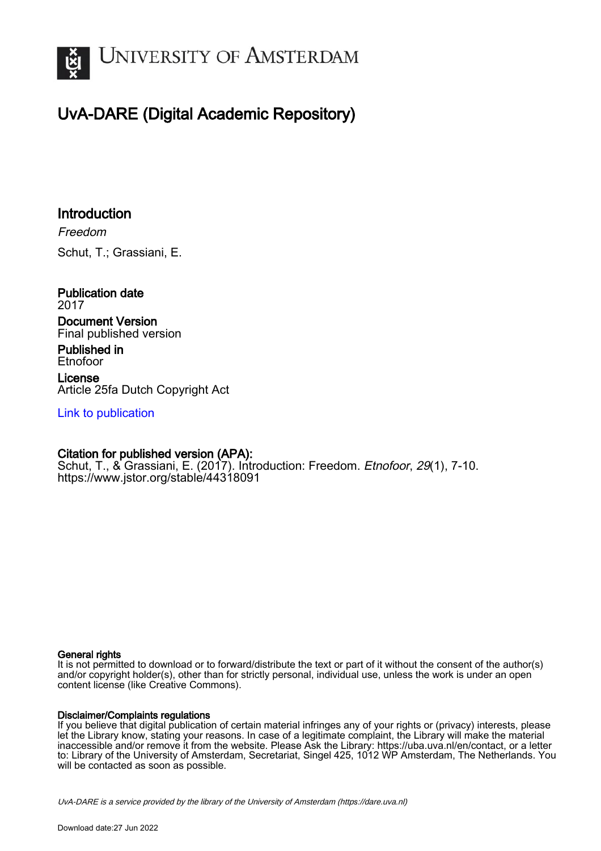

# UvA-DARE (Digital Academic Repository)

# Introduction

Freedom Schut, T.; Grassiani, E.

Publication date 2017 Document Version

Final published version

Published in Etnofoor

License Article 25fa Dutch Copyright Act

[Link to publication](https://dare.uva.nl/personal/pure/en/publications/introduction(7a4b0597-ff8b-4c59-8f47-5aa2a1de87f5).html)

## Citation for published version (APA):

Schut, T., & Grassiani, E. (2017). Introduction: Freedom. Etnofoor, 29(1), 7-10. <https://www.jstor.org/stable/44318091>

#### General rights

It is not permitted to download or to forward/distribute the text or part of it without the consent of the author(s) and/or copyright holder(s), other than for strictly personal, individual use, unless the work is under an open content license (like Creative Commons).

#### Disclaimer/Complaints regulations

If you believe that digital publication of certain material infringes any of your rights or (privacy) interests, please let the Library know, stating your reasons. In case of a legitimate complaint, the Library will make the material inaccessible and/or remove it from the website. Please Ask the Library: https://uba.uva.nl/en/contact, or a letter to: Library of the University of Amsterdam, Secretariat, Singel 425, 1012 WP Amsterdam, The Netherlands. You will be contacted as soon as possible.

UvA-DARE is a service provided by the library of the University of Amsterdam (http*s*://dare.uva.nl)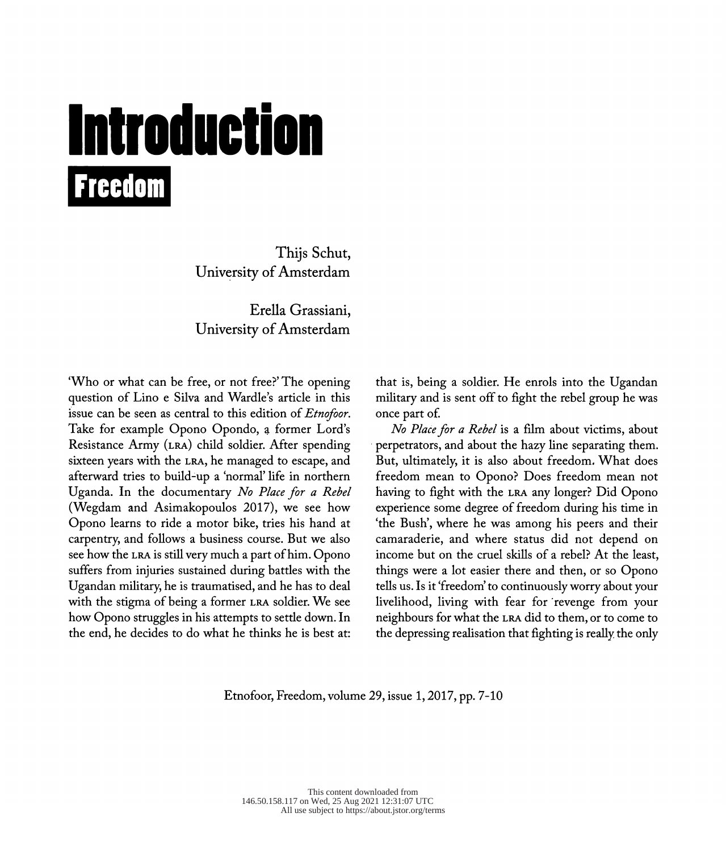# Introduction **Freedom**

 Thijs Schut, University of Amsterdam

 Erella Grassiani, University of Amsterdam

 'Who or what can be free, or not free?' The opening question of Lino e Silva and Wardle's article in this issue can be seen as central to this edition of *Etnofoor*. Take for example Opono Opondo, a former Lord's Resistance Army (LRA) child soldier. After spending sixteen years with the lra, he managed to escape, and afterward tries to build-up a 'normal' life in northern Uganda. In the documentary No Place for a Rebel (Wegdam and Asimakopoulos 2017), we see how Opono learns to ride a motor bike, tries his hand at carpentry, and follows a business course. But we also see how the lra is still very much a part of him. Opono suffers from injuries sustained during battles with the Ugandan military, he is traumatised, and he has to deal with the stigma of being a former lra soldier. We see how Opono struggles in his attempts to settle down. In the end, he decides to do what he thinks he is best at:

 that is, being a soldier. He enrols into the Ugandan military and is sent off to fight the rebel group he was once part of.

 No Place for a Rebel is a film about victims, about perpetrators, and about the hazy line separating them. But, ultimately, it is also about freedom. What does freedom mean to Opono? Does freedom mean not having to fight with the lra any longer? Did Opono experience some degree of freedom during his time in 'the Bush, where he was among his peers and their camaraderie, and where status did not depend on income but on the cruel skills of a rebel? At the least, things were a lot easier there and then, or so Opono tells us. Is it 'freedom' to continuously worry about your livelihood, living with fear for revenge from your neighbours for what the lra did to them, or to come to the depressing realisation that fighting is really the only

Etnofoor, Freedom, volume 29, issue 1, 2017, pp. 7-10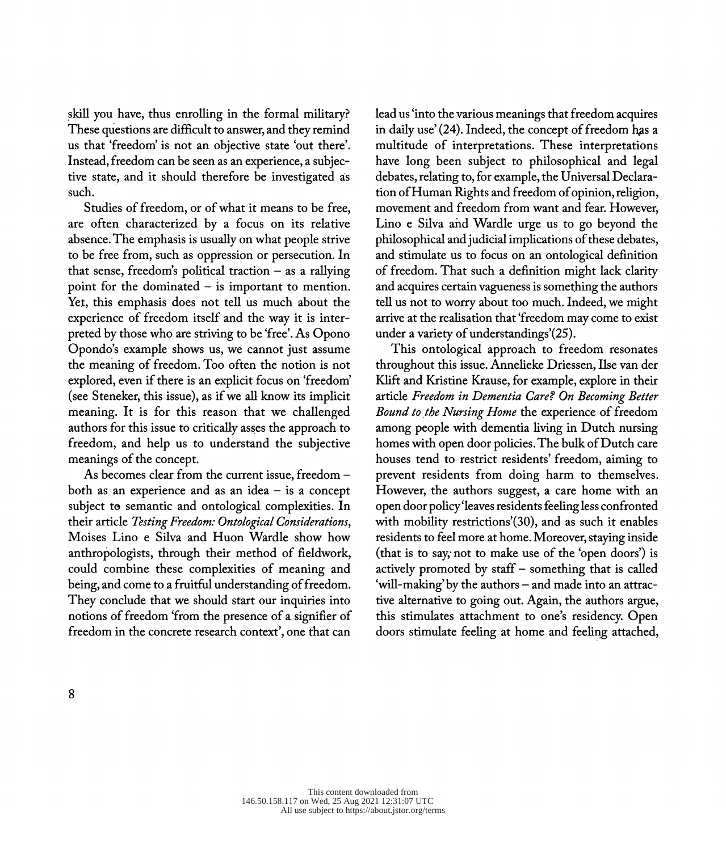skill you have, thus enrolling in the formal military? These questions are difficult to answer, and they remind us that 'freedom' is not an objective state 'out there'. Instead, freedom can be seen as an experience, a subjec tive state, and it should therefore be investigated ás such.

 Studies of freedom, or of what it means to be free, are often characterized by a focus on its relative absence. The emphasis is usually on what people strive to be free from, such as oppression or persecution. In that sense, freedom's political traction  $-$  as a rallying point for the dominated  $-$  is important to mention. Yet, this emphasis does not tell us much about the experience of freedom itself and the way it is inter preted by those who are striving to be 'free'. As Opono Opondo's example shows us, we cannot just assume the meaning of freedom. Too often the notion is not explored, even if there is an explicit focus on 'freedom' (see Steneker, this issue), as if we all know its implicit meaning. It is for this reason that we challenged authors for this issue to critically asses the approach to freedom, and help us to understand the subjective meanings of the concept.

As becomes clear from the current issue, freedom both as an experience and as an idea  $-$  is a concept subject to semantic and ontological complexities. In their article Testing Freedom: Ontological Considerations, Moises Lino e Silva and Huon Wardle show how anthropologists, through their method of fieldwork, could combine these complexities of meaning and being, and come to a fruitful understanding of freedom. They conclude that we should start our inquiries into notions of freedom 'from the presence of a signifier of freedom in the concrete research context', one that can

 lead us 'into the various meanings that freedom acquires in daily use' (24). Indeed, the concept of freedom has a multitude of interpretations. These interpretations have long been subject to philosophical and legal debates, relating to, for example, the Universal Declara tion of Human Rights and freedom of opinion, religion, movement and freedom from want and fear. However, Lino e Silva and Wardle urge us to go beyond the philosophical and judicial implications of these debates, and stimulate us to focus on an ontological definition of freedom. That such a definition might lack clarity and acquires certain vagueness is something the authors tell us not to worry about too much. Indeed, we might arrive at the realisation that 'freedom may come to exist under a variety of understandings'(25).

 This ontological approach to freedom resonates throughout this issue. Annelieke Driessen, Ilse van der Klift and Kristine Krause, for example, explore in their article Freedom in Dementia Care? On Becoming Better Bound to the Nursing Home the experience of freedom among people with dementia living in Dutch nursing homes with open door policies. The bulk of Dutch care houses tend to restrict residents' freedom, aiming to prevent residents from doing harm to themselves. However, the authors suggest, a care home with an open door policy 'leaves residents feeling less confronted with mobility restrictions'(30), and as such it enables residents to feel more at home. Moreover, staying inside (that is to say, not to make use of the 'open doors') is actively promoted by staff - something that is called 'will-making' by the authors - and made into an attrac tive alternative to going out. Again, the authors argue, this stimulates attachment to one's residency. Open doors stimulate feeling at home and feeling attached,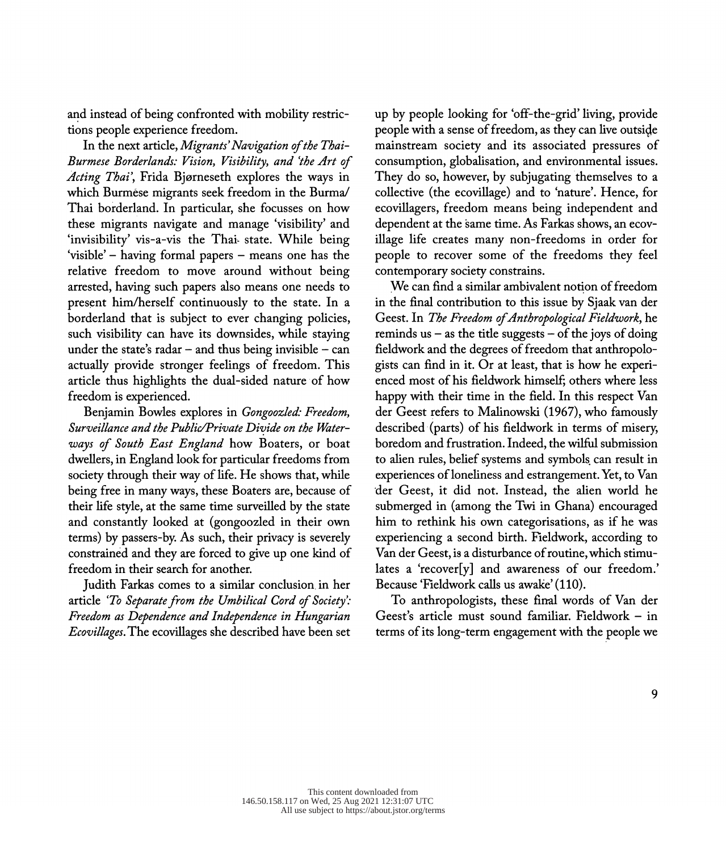and instead of being confronted with mobility restric tions people experience freedom.

 In the next article, Migrants' Navigation of the Thai- Burmese Borderlands: Vision, Visibility, and 'the Art of Acting Thai', Frida Bjørneseth explores the ways in which Burmese migrants seek freedom in the Burma/ Thai borderland. In particular, she focusses on how these migrants navigate and manage 'visibility' and 'invisibility' vis-a-vis the Thai- state. While being 'visible' - having formal papers - means one has the relative freedom to move around without being arrested, having such papers also means one needs to present him/herself continuously to the state. In a borderland that is subject to ever changing policies, such visibility can have its downsides, while staying under the state's radar  $-$  and thus being invisible  $-$  can actually provide stronger feelings of freedom. This article thus highlights the dual-sided nature of how freedom is experienced.

 Benjamin Bowles explores in Gongoozled: Freedom, Surveillance and the Public/Private Divide on the Water ways of South East England how Boaters, or boat dwellers, in England look for particular freedoms from society through their way of life. He shows that, while being free in many ways, these Boaters are, because of their life style, at the same time surveilled by the state and constantly looked at (gongoozled in their own terms) by passers-by. As such, their privacy is severely constrained and they are forced to give up one kind of freedom in their search for another.

 Judith Farkas comes to a similar conclusion in her article 'To Separate from the Umbilical Cord of Society': Freedom as Dependence and Independence in Hungarian Ecovillages. The ecovillages she described have been set  up by people looking for 'off-the-griď living, provide people with a sense of freedom, as they can live outside mainstream society and its associated pressures of consumption, globalisation, and environmental issues. They do so, however, by subjugating themselves to a collective (the ecovillage) and to 'nature'. Hence, for ecovillagers, freedom means being independent and dependent at the same time. As Farkas shows, an ecov illage life creates many non-freedoms in order for people to recover some of the freedoms they feel contemporary society constrains.

 We can find a similar ambivalent notion of freedom in the final contribution to this issue by Sjaak van der Geest. In The Freedom of Anthropological Fieldwork, he reminds us  $-$  as the title suggests  $-$  of the joys of doing fieldwork and the degrees of freedom that anthropolo gists can find in it. Or at least, that is how he experi enced most of his fieldwork himself; others where less happy with their time in the field. In this respect Van der Geest refers to Malinowski (1967), who famously described (parts) of his fieldwork in terms of misery, boredom and frustration. Indeed, the wilful submission to alien rules, belief systems and symbols can result in experiences of loneliness and estrangement. Yet, to Van der Geest, it did not. Instead, the alien world he submerged in (among the Twi in Ghana) encouraged him to rethink his own categorisations, as if he was experiencing a second birth. Fieldwork, according to Van der Geest, is a disturbance of routine, which stimu lates a 'recover[y] and awareness of our freedom.' Because 'Fieldwork calls us awake' (110).

 To anthropologists, these final words of Van der Geest's article must sound familiar. Fieldwork - in terms of its long-term engagement with the people we